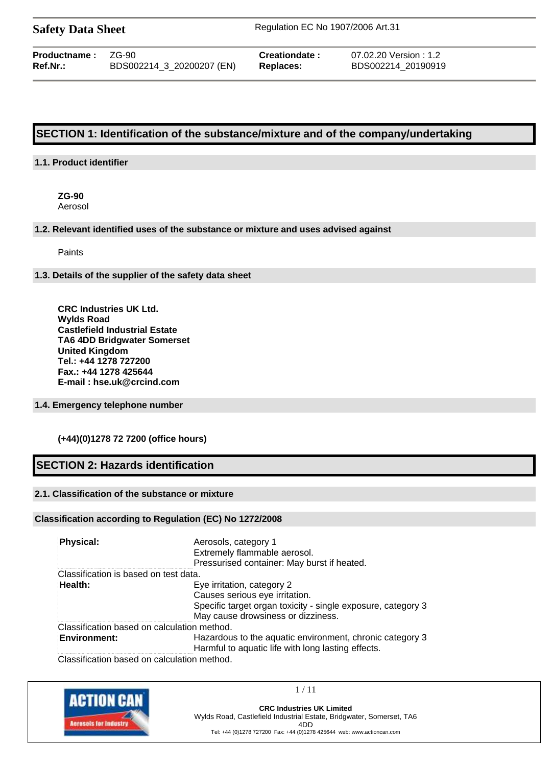| <b>Safety Data Sheet</b> |  |  |
|--------------------------|--|--|
|--------------------------|--|--|

**Safety Data Sheet** Regulation EC No 1907/2006 Art.31

| $Ref.Nr.$ :<br>BDS002214 3 20200207 (EN)<br>Replaces: | <b>Productname:</b> | ZG-90 | Creationdate: | 07.02.20 Version : 1.2<br>BDS002214 20190919 |
|-------------------------------------------------------|---------------------|-------|---------------|----------------------------------------------|
|-------------------------------------------------------|---------------------|-------|---------------|----------------------------------------------|

# **SECTION 1: Identification of the substance/mixture and of the company/undertaking**

### **1.1. Product identifier**

**ZG-90** Aerosol

#### **1.2. Relevant identified uses of the substance or mixture and uses advised against**

Paints

#### **1.3. Details of the supplier of the safety data sheet**

**CRC Industries UK Ltd. Wylds Road Castlefield Industrial Estate TA6 4DD Bridgwater Somerset United Kingdom Tel.: +44 1278 727200 Fax.: +44 1278 425644 E-mail : hse.uk@crcind.com**

### **1.4. Emergency telephone number**

### **(+44)(0)1278 72 7200 (office hours)**

## **SECTION 2: Hazards identification**

### **2.1. Classification of the substance or mixture**

#### **Classification according to Regulation (EC) No 1272/2008**

| <b>Physical:</b>                                                   | Aerosols, category 1<br>Extremely flammable aerosol.<br>Pressurised container: May burst if heated.                                                                |
|--------------------------------------------------------------------|--------------------------------------------------------------------------------------------------------------------------------------------------------------------|
| Classification is based on test data.                              |                                                                                                                                                                    |
| Health:                                                            | Eye irritation, category 2<br>Causes serious eye irritation.<br>Specific target organ toxicity - single exposure, category 3<br>May cause drowsiness or dizziness. |
| Classification based on calculation method.<br><b>Environment:</b> | Hazardous to the aquatic environment, chronic category 3<br>Harmful to aquatic life with long lasting effects.                                                     |
|                                                                    |                                                                                                                                                                    |

Classification based on calculation method.



1 / 11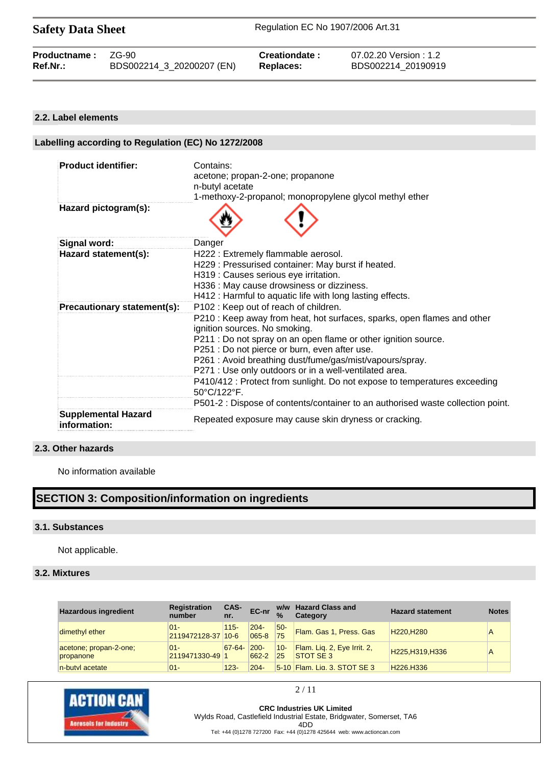| <b>Safety Data Sheet</b> |  |  |
|--------------------------|--|--|
|--------------------------|--|--|

| <b>Productname: ZG-90</b> | BDS002214_3_20200207 (EN) | Creationdate: | 07.02.20 Version : 1.2 |
|---------------------------|---------------------------|---------------|------------------------|
| Ref.Nr.:                  |                           | Replaces:     | BDS002214 20190919     |
|                           |                           |               |                        |

#### **2.2. Label elements**

# **Labelling according to Regulation (EC) No 1272/2008**

| <b>Product identifier:</b>                 | Contains:                                                                                                |
|--------------------------------------------|----------------------------------------------------------------------------------------------------------|
|                                            | acetone; propan-2-one; propanone<br>n-butyl acetate                                                      |
|                                            | 1-methoxy-2-propanol; monopropylene glycol methyl ether                                                  |
| Hazard pictogram(s):                       |                                                                                                          |
| <b>Signal word:</b>                        | Danger                                                                                                   |
| Hazard statement(s):                       | H222 : Extremely flammable aerosol.                                                                      |
|                                            | H229: Pressurised container: May burst if heated.                                                        |
|                                            | H319 : Causes serious eye irritation.                                                                    |
|                                            | H336 : May cause drowsiness or dizziness.                                                                |
|                                            | H412 : Harmful to aquatic life with long lasting effects.                                                |
| Precautionary statement(s):                | P102 : Keep out of reach of children.                                                                    |
|                                            | P210 : Keep away from heat, hot surfaces, sparks, open flames and other<br>ignition sources. No smoking. |
|                                            | P211 : Do not spray on an open flame or other ignition source.                                           |
|                                            | P251 : Do not pierce or burn, even after use.                                                            |
|                                            | P261 : Avoid breathing dust/fume/gas/mist/vapours/spray.                                                 |
|                                            | P271 : Use only outdoors or in a well-ventilated area.                                                   |
|                                            | P410/412 : Protect from sunlight. Do not expose to temperatures exceeding<br>50°C/122°F.                 |
|                                            | P501-2 : Dispose of contents/container to an authorised waste collection point.                          |
| <b>Supplemental Hazard</b><br>information: | Repeated exposure may cause skin dryness or cracking.                                                    |

## **2.3. Other hazards**

No information available

# **SECTION 3: Composition/information on ingredients**

#### **3.1. Substances**

Not applicable.

## **3.2. Mixtures**

| <b>Hazardous ingredient</b>         | <b>Registration</b><br>number | CAS-<br>nr. | EC-nr                | $\frac{9}{6}$ | w/w Hazard Class and<br>Category                | <b>Hazard statement</b>            | <b>Notes</b> |
|-------------------------------------|-------------------------------|-------------|----------------------|---------------|-------------------------------------------------|------------------------------------|--------------|
| dimethyl ether                      | $01 -$<br>2119472128-37 10-6  | $115 -$     | $204 -$<br>$065 - 8$ | $50-$<br>75   | Flam. Gas 1, Press. Gas                         | H <sub>220</sub> .H <sub>280</sub> |              |
| acetone; propan-2-one;<br>propanone | $01 -$<br>2119471330-49 1     | 67-64-      | $200 -$<br>662-2     | $10 -$<br>25  | Flam. Liq. 2, Eye Irrit. 2,<br><b>STOT SE 3</b> | H225, H319, H336                   |              |
| n-butyl acetate                     | $01 -$                        | $123 -$     | $204 -$              |               | 5-10 Flam Lig. 3, STOT SF 3                     | H <sub>226</sub> H <sub>336</sub>  |              |



**CRC Industries UK Limited** Wylds Road, Castlefield Industrial Estate, Bridgwater, Somerset, TA6 4DD Tel: +44 (0)1278 727200 Fax: +44 (0)1278 425644 web: www.actioncan.com

2 / 11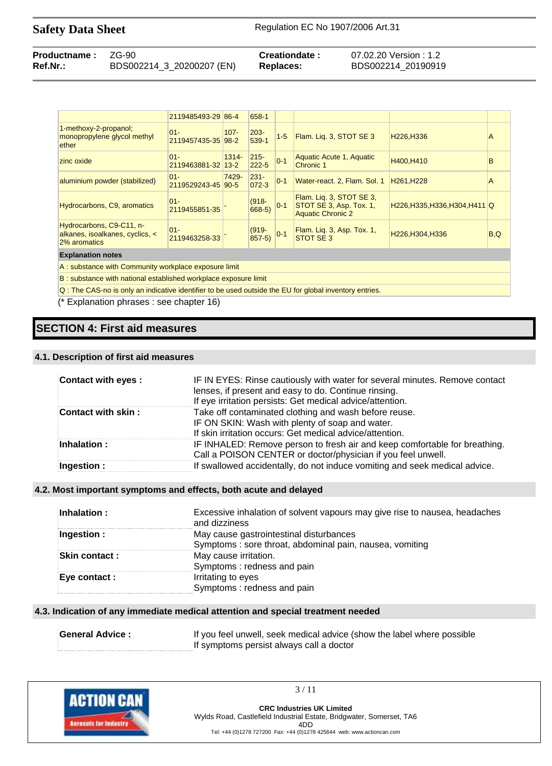| <b>Productname: ZG-90</b> |                           | Creationdate: | 07.02.20 Version : 1.2 |
|---------------------------|---------------------------|---------------|------------------------|
| Ref.Nr.:                  | BDS002214_3_20200207 (EN) | Replaces:     | BDS002214 20190919     |

|                                                                             | 2119485493-29 86-4           |          | 658-1                |         |                                                                                 |                                     |     |
|-----------------------------------------------------------------------------|------------------------------|----------|----------------------|---------|---------------------------------------------------------------------------------|-------------------------------------|-----|
| 1-methoxy-2-propanol;<br>monopropylene glycol methyl<br>ether               | $01 -$<br>2119457435-35 98-2 | $107 -$  | $203 -$<br>539-1     | $1 - 5$ | Flam. Lig. 3, STOT SE 3                                                         | H <sub>226</sub> , H <sub>336</sub> | A   |
| zinc oxide                                                                  | $01 -$<br>2119463881-32 13-2 | $1314 -$ | $215 -$<br>$222 - 5$ | $0 - 1$ | Aquatic Acute 1, Aquatic<br>Chronic 1                                           | H400.H410                           | B   |
| aluminium powder (stabilized)                                               | $01 -$<br>2119529243-45 90-5 | 7429-    | $231 -$<br>$072 - 3$ | $0 - 1$ | Water-react. 2, Flam. Sol. 1                                                    | H <sub>261</sub> , H <sub>228</sub> | A   |
| Hydrocarbons, C9, aromatics                                                 | $01 -$<br>2119455851-35      |          | $(918 -$<br>$668-5)$ | $0 - 1$ | Flam. Lig. 3, STOT SE 3,<br>STOT SE 3, Asp. Tox. 1,<br><b>Aquatic Chronic 2</b> | H226, H335, H336, H304, H411 Q      |     |
| Hydrocarbons, C9-C11, n-<br>alkanes, isoalkanes, cyclics, <<br>2% aromatics | $01 -$<br>2119463258-33      |          | $(919 -$<br>$857-5$  | $0 - 1$ | Flam. Lig. 3, Asp. Tox. 1,<br><b>STOT SE 3</b>                                  | H226, H304, H336                    | B,Q |
| <b>Explanation notes</b>                                                    |                              |          |                      |         |                                                                                 |                                     |     |
| A: substance with Community workplace exposure limit                        |                              |          |                      |         |                                                                                 |                                     |     |

B : substance with national established workplace exposure limit

Q : The CAS-no is only an indicative identifier to be used outside the EU for global inventory entries.

(\* Explanation phrases : see chapter 16)

## **SECTION 4: First aid measures**

#### **4.1. Description of first aid measures**

| Contact with eyes:      | IF IN EYES: Rinse cautiously with water for several minutes. Remove contact<br>lenses, if present and easy to do. Continue rinsing.<br>If eye irritation persists: Get medical advice/attention. |
|-------------------------|--------------------------------------------------------------------------------------------------------------------------------------------------------------------------------------------------|
| Contact with skin:      | Take off contaminated clothing and wash before reuse.<br>IF ON SKIN: Wash with plenty of soap and water.<br>If skin irritation occurs: Get medical advice/attention.                             |
| $\mathsf{Inhalation}$ : | IF INHALED: Remove person to fresh air and keep comfortable for breathing.<br>Call a POISON CENTER or doctor/physician if you feel unwell.                                                       |
| Ingestion:              | If swallowed accidentally, do not induce vomiting and seek medical advice.                                                                                                                       |

#### **4.2. Most important symptoms and effects, both acute and delayed**

| Inhalation :  | Excessive inhalation of solvent vapours may give rise to nausea, headaches<br>and dizziness |
|---------------|---------------------------------------------------------------------------------------------|
| Ingestion :   | May cause gastrointestinal disturbances                                                     |
|               | Symptoms: sore throat, abdominal pain, nausea, vomiting                                     |
| Skin contact: | May cause irritation.                                                                       |
|               | Symptoms: redness and pain                                                                  |
| Eye contact : | Irritating to eyes                                                                          |
|               | Symptoms: redness and pain                                                                  |

#### **4.3. Indication of any immediate medical attention and special treatment needed**

| <b>General Advice:</b> | If you feel unwell, seek medical advice (show the label where possible |
|------------------------|------------------------------------------------------------------------|
|                        | If symptoms persist always call a doctor                               |



3 / 11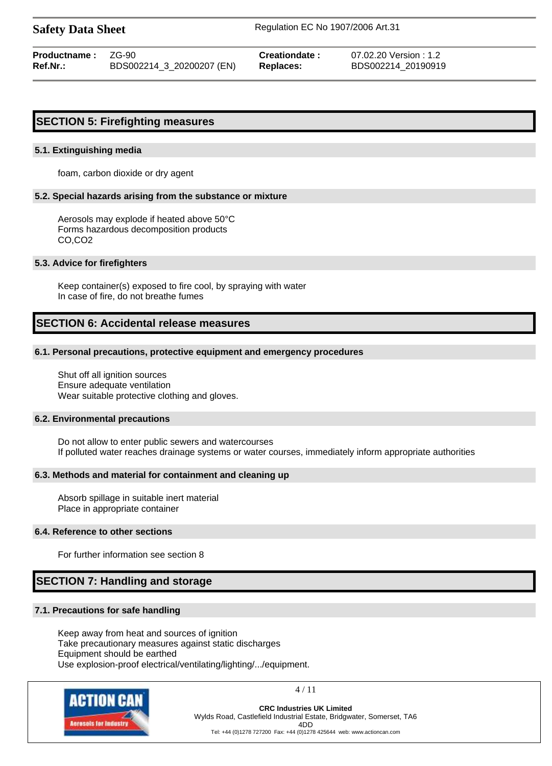**Safety Data Sheet** Regulation EC No 1907/2006 Art.31

**Productname :** ZG-90 **Creationdate :** 07.02.20 Version : 1.2 **Ref.Nr.:** BDS002214\_3\_20200207 (EN) **Replaces:** BDS002214\_20190919

## **SECTION 5: Firefighting measures**

#### **5.1. Extinguishing media**

foam, carbon dioxide or dry agent

#### **5.2. Special hazards arising from the substance or mixture**

Aerosols may explode if heated above 50°C Forms hazardous decomposition products CO,CO2

#### **5.3. Advice for firefighters**

Keep container(s) exposed to fire cool, by spraying with water In case of fire, do not breathe fumes

## **SECTION 6: Accidental release measures**

#### **6.1. Personal precautions, protective equipment and emergency procedures**

Shut off all ignition sources Ensure adequate ventilation Wear suitable protective clothing and gloves.

#### **6.2. Environmental precautions**

Do not allow to enter public sewers and watercourses If polluted water reaches drainage systems or water courses, immediately inform appropriate authorities

#### **6.3. Methods and material for containment and cleaning up**

Absorb spillage in suitable inert material Place in appropriate container

#### **6.4. Reference to other sections**

For further information see section 8

## **SECTION 7: Handling and storage**

#### **7.1. Precautions for safe handling**

Keep away from heat and sources of ignition Take precautionary measures against static discharges Equipment should be earthed Use explosion-proof electrical/ventilating/lighting/.../equipment.



4 / 11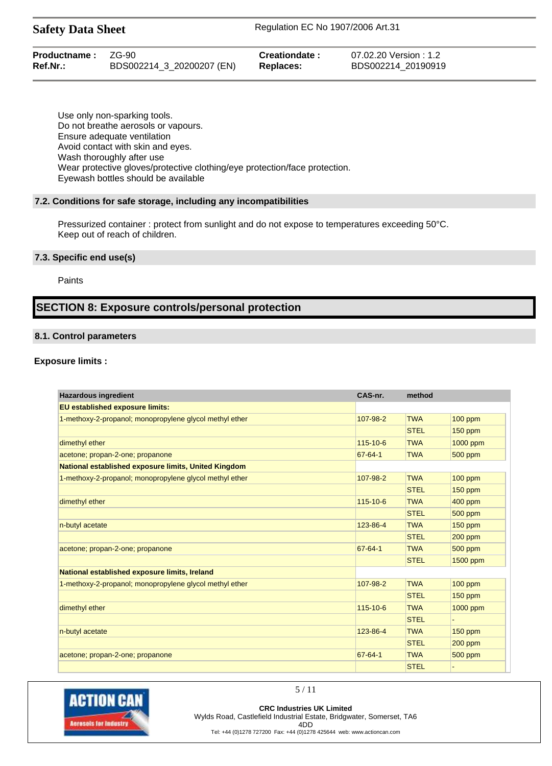| <b>Productname: ZG-90</b> |                           | Creationdate: | 07.02.20 Version : 1.2 |
|---------------------------|---------------------------|---------------|------------------------|
| Ref.Nr.:                  | BDS002214_3_20200207 (EN) | Replaces:     | BDS002214 20190919     |

Use only non-sparking tools. Do not breathe aerosols or vapours. Ensure adequate ventilation Avoid contact with skin and eyes. Wash thoroughly after use Wear protective gloves/protective clothing/eye protection/face protection. Eyewash bottles should be available

#### **7.2. Conditions for safe storage, including any incompatibilities**

Pressurized container : protect from sunlight and do not expose to temperatures exceeding 50°C. Keep out of reach of children.

#### **7.3. Specific end use(s)**

Paints

## **SECTION 8: Exposure controls/personal protection**

#### **8.1. Control parameters**

#### **Exposure limits :**

| <b>Hazardous ingredient</b>                             | CAS-nr.        | method      |                |
|---------------------------------------------------------|----------------|-------------|----------------|
| <b>EU established exposure limits:</b>                  |                |             |                |
| 1-methoxy-2-propanol; monopropylene glycol methyl ether | 107-98-2       | <b>TWA</b>  | $100$ ppm      |
|                                                         |                | <b>STEL</b> | $150$ ppm      |
| dimethyl ether                                          | $115 - 10 - 6$ | <b>TWA</b>  | 1000 ppm       |
| acetone; propan-2-one; propanone                        | $67 - 64 - 1$  | <b>TWA</b>  | 500 ppm        |
| National established exposure limits, United Kingdom    |                |             |                |
| 1-methoxy-2-propanol; monopropylene glycol methyl ether | 107-98-2       | <b>TWA</b>  | $100$ ppm      |
|                                                         |                | <b>STEL</b> | $150$ ppm      |
| dimethyl ether                                          | 115-10-6       | <b>TWA</b>  | 400 ppm        |
|                                                         |                | <b>STEL</b> | 500 ppm        |
| n-butyl acetate                                         | 123-86-4       | <b>TWA</b>  | <b>150 ppm</b> |
|                                                         |                | <b>STEL</b> | $200$ ppm      |
| acetone; propan-2-one; propanone                        | $67 - 64 - 1$  | <b>TWA</b>  | 500 ppm        |
|                                                         |                | <b>STEL</b> | 1500 ppm       |
| National established exposure limits, Ireland           |                |             |                |
| 1-methoxy-2-propanol; monopropylene glycol methyl ether | 107-98-2       | <b>TWA</b>  | $100$ ppm      |
|                                                         |                | <b>STEL</b> | $150$ ppm      |
| dimethyl ether                                          | 115-10-6       | <b>TWA</b>  | 1000 ppm       |
|                                                         |                | <b>STEL</b> |                |
| n-butyl acetate                                         | 123-86-4       | <b>TWA</b>  | <b>150 ppm</b> |
|                                                         |                | <b>STEL</b> | $200$ ppm      |
| acetone; propan-2-one; propanone                        | $67 - 64 - 1$  | <b>TWA</b>  | 500 ppm        |
|                                                         |                | <b>STEL</b> |                |



**CRC Industries UK Limited** Wylds Road, Castlefield Industrial Estate, Bridgwater, Somerset, TA6 4DD Tel: +44 (0)1278 727200 Fax: +44 (0)1278 425644 web: www.actioncan.com

5 / 11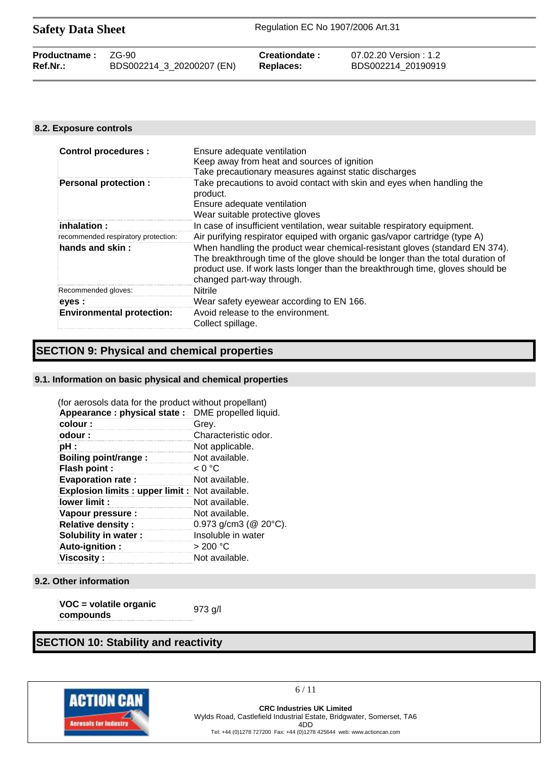| <b>Safety Data Sheet</b> |                           | Regulation EC No 1907/2006 Art.31 |                        |  |
|--------------------------|---------------------------|-----------------------------------|------------------------|--|
| Productname:             | ZG-90                     | Creationdate:                     | 07.02.20 Version : 1.2 |  |
| Ref.Nr.:                 | BDS002214_3_20200207 (EN) | <b>Replaces:</b>                  | BDS002214 20190919     |  |

#### **8.2. Exposure controls**

| <b>Control procedures:</b>               | Ensure adequate ventilation<br>Keep away from heat and sources of ignition<br>Take precautionary measures against static discharges                                                                                                                                          |
|------------------------------------------|------------------------------------------------------------------------------------------------------------------------------------------------------------------------------------------------------------------------------------------------------------------------------|
| <b>Personal protection:</b>              | Take precautions to avoid contact with skin and eyes when handling the<br>product.<br>Ensure adequate ventilation<br>Wear suitable protective gloves                                                                                                                         |
| $\mathop{\mathsf{in}}$ halation $\colon$ | In case of insufficient ventilation, wear suitable respiratory equipment.                                                                                                                                                                                                    |
| recommended respiratory protection:      | Air purifying respirator equiped with organic gas/vapor cartridge (type A)                                                                                                                                                                                                   |
| hands and skin:                          | When handling the product wear chemical-resistant gloves (standard EN 374).<br>The breakthrough time of the glove should be longer than the total duration of<br>product use. If work lasts longer than the breakthrough time, gloves should be<br>changed part-way through. |
| Recommended gloves:                      | Nitrile                                                                                                                                                                                                                                                                      |
| eyes :                                   | Wear safety eyewear according to EN 166.                                                                                                                                                                                                                                     |
| <b>Environmental protection:</b>         | Avoid release to the environment.<br>Collect spillage.                                                                                                                                                                                                                       |

# **SECTION 9: Physical and chemical properties**

#### **9.1. Information on basic physical and chemical properties**

| (for aerosols data for the product without propellant) |                              |
|--------------------------------------------------------|------------------------------|
| Appearance : physical state : DME propelled liquid.    |                              |
| colour:                                                | Grey.                        |
| odour:                                                 | Characteristic odor.         |
| pH :                                                   | Not applicable.              |
| Boiling point/range:                                   | Not available.               |
| Flash point :                                          | < 0 °C                       |
| <b>Evaporation rate:</b>                               | Not available.               |
| <b>Explosion limits: upper limit: Not available.</b>   |                              |
| lower limit:                                           | Not available.               |
| Vapour pressure :                                      | Not available.               |
| <b>Relative density:</b>                               | 0.973 g/cm3 ( $@$ 20 $°C$ ). |
| Solubility in water :                                  | Insoluble in water           |
| Auto-ignition:                                         | > 200 °C                     |
| <b>Viscosity:</b>                                      | Not available.               |

#### **9.2. Other information**

| VOC = volatile organic | $973$ g/l |
|------------------------|-----------|
| compounds              |           |

# **SECTION 10: Stability and reactivity**



6 / 11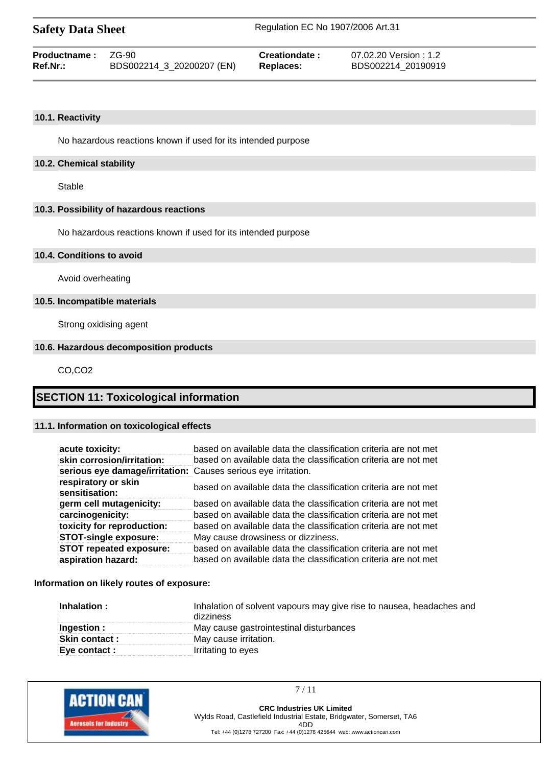| <b>Safety Data Sheet</b> |                           | Regulation EC No 1907/2006 Art.31 |                        |  |
|--------------------------|---------------------------|-----------------------------------|------------------------|--|
| <b>Productname:</b>      | 7G-90                     | Creationdate:                     | 07.02.20 Version : 1.2 |  |
| Ref.Nr.:                 | BDS002214_3_20200207 (EN) | Replaces:                         | BDS002214 20190919     |  |

#### **10.1. Reactivity**

No hazardous reactions known if used for its intended purpose

#### **10.2. Chemical stability**

Stable

#### **10.3. Possibility of hazardous reactions**

No hazardous reactions known if used for its intended purpose

#### **10.4. Conditions to avoid**

Avoid overheating

#### **10.5. Incompatible materials**

Strong oxidising agent

#### **10.6. Hazardous decomposition products**

CO,CO2

## **SECTION 11: Toxicological information**

#### **11.1. Information on toxicological effects**

| acute toxicity:                                               | based on available data the classification criteria are not met |
|---------------------------------------------------------------|-----------------------------------------------------------------|
| skin corrosion/irritation:                                    | based on available data the classification criteria are not met |
| serious eye damage/irritation: Causes serious eye irritation. |                                                                 |
| respiratory or skin<br>sensitisation:                         | based on available data the classification criteria are not met |
| germ cell mutagenicity:                                       | based on available data the classification criteria are not met |
| carcinogenicity:                                              | based on available data the classification criteria are not met |
| toxicity for reproduction:                                    | based on available data the classification criteria are not met |
| <b>STOT-single exposure:</b>                                  | May cause drowsiness or dizziness.                              |
| <b>STOT repeated exposure:</b>                                | based on available data the classification criteria are not met |
| aspiration hazard:                                            | based on available data the classification criteria are not met |

#### **Information on likely routes of exposure:**

| Inhalation:           | Inhalation of solvent vapours may give rise to nausea, headaches and<br>dizziness |
|-----------------------|-----------------------------------------------------------------------------------|
| Ingestion :           | May cause gastrointestinal disturbances                                           |
| <b>Skin contact :</b> | May cause irritation.                                                             |
| Eye contact :         | Irritating to eyes                                                                |



7 / 11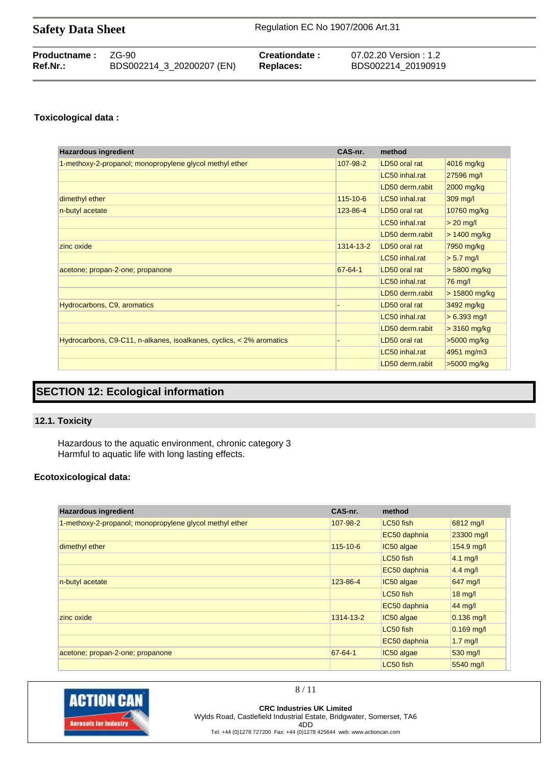| <b>Safety Data Sheet</b> | Regulation EC No 1907/2006 Art.31 |
|--------------------------|-----------------------------------|
|--------------------------|-----------------------------------|

| <b>Productname: ZG-90</b><br>$Ref.Nr.$ : |                           | Creationdate : | 07.02.20 Version : 1.2 |
|------------------------------------------|---------------------------|----------------|------------------------|
|                                          | BDS002214_3_20200207 (EN) | Replaces:      | BDS002214 20190919     |

## **Toxicological data :**

| <b>Hazardous ingredient</b>                                          | CAS-nr.        | method          |                |
|----------------------------------------------------------------------|----------------|-----------------|----------------|
| 1-methoxy-2-propanol; monopropylene glycol methyl ether              | 107-98-2       | LD50 oral rat   | 4016 mg/kg     |
|                                                                      |                | LC50 inhal.rat  | 27596 mg/l     |
|                                                                      |                | LD50 derm.rabit | 2000 mg/kg     |
| dimethyl ether                                                       | $115 - 10 - 6$ | LC50 inhal.rat  | 309 mg/l       |
| n-butyl acetate                                                      | 123-86-4       | LD50 oral rat   | 10760 mg/kg    |
|                                                                      |                | LC50 inhal.rat  | $> 20$ mg/l    |
|                                                                      |                | LD50 derm.rabit | $> 1400$ mg/kg |
| zinc oxide                                                           | 1314-13-2      | LD50 oral rat   | 7950 mg/kg     |
|                                                                      |                | LC50 inhal.rat  | $> 5.7$ mg/l   |
| acetone; propan-2-one; propanone                                     | 67-64-1        | LD50 oral rat   | $> 5800$ mg/kg |
|                                                                      |                | LC50 inhal.rat  | 76 mg/l        |
|                                                                      |                | LD50 derm.rabit | > 15800 mg/kg  |
| Hydrocarbons, C9, aromatics                                          |                | LD50 oral rat   | 3492 mg/kg     |
|                                                                      |                | LC50 inhal.rat  | $> 6.393$ mg/l |
|                                                                      |                | LD50 derm.rabit | $>3160$ mg/kg  |
| Hydrocarbons, C9-C11, n-alkanes, isoalkanes, cyclics, < 2% aromatics |                | LD50 oral rat   | >5000 mg/kg    |
|                                                                      |                | LC50 inhal.rat  | 4951 mg/m3     |
|                                                                      |                | LD50 derm.rabit | >5000 mg/kg    |

# **SECTION 12: Ecological information**

## **12.1. Toxicity**

Hazardous to the aquatic environment, chronic category 3 Harmful to aquatic life with long lasting effects.

### **Ecotoxicological data:**

| <b>Hazardous ingredient</b>                             | CAS-nr.        | method       |                   |
|---------------------------------------------------------|----------------|--------------|-------------------|
| 1-methoxy-2-propanol; monopropylene glycol methyl ether | 107-98-2       | LC50 fish    | 6812 mg/l         |
|                                                         |                | EC50 daphnia | 23300 mg/l        |
| dimethyl ether                                          | $115 - 10 - 6$ | IC50 algae   | 154.9 mg/l        |
|                                                         |                | LC50 fish    | $4.1$ mg/         |
|                                                         |                | EC50 daphnia | $4.4$ mg/l        |
| n-butyl acetate                                         | 123-86-4       | IC50 algae   | 647 mg/l          |
|                                                         |                | LC50 fish    | $18 \text{ mg/l}$ |
|                                                         |                | EC50 daphnia | 44 mg/l           |
| zinc oxide                                              | 1314-13-2      | IC50 algae   | $0.136$ mg/l      |
|                                                         |                | LC50 fish    | $0.169$ mg/l      |
|                                                         |                | EC50 daphnia | $1.7$ mg/l        |
| acetone; propan-2-one; propanone                        | 67-64-1        | IC50 algae   | 530 mg/l          |
|                                                         |                | LC50 fish    | 5540 mg/l         |



8 / 11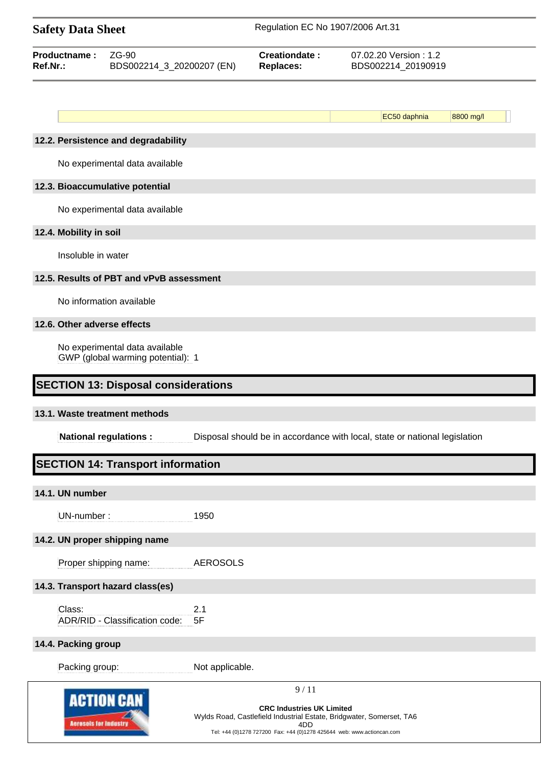| <b>Safety Data Sheet</b>                                       |                                                                     |                                   | Regulation EC No 1907/2006 Art.31                                                                        |                                                                            |                                             |  |
|----------------------------------------------------------------|---------------------------------------------------------------------|-----------------------------------|----------------------------------------------------------------------------------------------------------|----------------------------------------------------------------------------|---------------------------------------------|--|
| ZG-90<br>Productname:<br>Ref.Nr.:<br>BDS002214_3_20200207 (EN) |                                                                     | Creationdate:<br><b>Replaces:</b> |                                                                                                          |                                                                            | 07.02.20 Version: 1.2<br>BDS002214_20190919 |  |
|                                                                |                                                                     |                                   |                                                                                                          |                                                                            |                                             |  |
|                                                                |                                                                     |                                   |                                                                                                          | EC50 daphnia                                                               | 8800 mg/l                                   |  |
|                                                                | 12.2. Persistence and degradability                                 |                                   |                                                                                                          |                                                                            |                                             |  |
|                                                                | No experimental data available                                      |                                   |                                                                                                          |                                                                            |                                             |  |
|                                                                | 12.3. Bioaccumulative potential                                     |                                   |                                                                                                          |                                                                            |                                             |  |
|                                                                | No experimental data available                                      |                                   |                                                                                                          |                                                                            |                                             |  |
| 12.4. Mobility in soil                                         |                                                                     |                                   |                                                                                                          |                                                                            |                                             |  |
| Insoluble in water                                             |                                                                     |                                   |                                                                                                          |                                                                            |                                             |  |
|                                                                | 12.5. Results of PBT and vPvB assessment                            |                                   |                                                                                                          |                                                                            |                                             |  |
|                                                                | No information available                                            |                                   |                                                                                                          |                                                                            |                                             |  |
| 12.6. Other adverse effects                                    |                                                                     |                                   |                                                                                                          |                                                                            |                                             |  |
|                                                                | No experimental data available<br>GWP (global warming potential): 1 |                                   |                                                                                                          |                                                                            |                                             |  |
|                                                                |                                                                     |                                   |                                                                                                          |                                                                            |                                             |  |
|                                                                | <b>SECTION 13: Disposal considerations</b>                          |                                   |                                                                                                          |                                                                            |                                             |  |
|                                                                | 13.1. Waste treatment methods                                       |                                   |                                                                                                          |                                                                            |                                             |  |
|                                                                | <b>National regulations:</b>                                        |                                   |                                                                                                          | Disposal should be in accordance with local, state or national legislation |                                             |  |
|                                                                | <b>SECTION 14: Transport information</b>                            |                                   |                                                                                                          |                                                                            |                                             |  |
| 14.1. UN number                                                |                                                                     |                                   |                                                                                                          |                                                                            |                                             |  |
| UN-number:                                                     |                                                                     | 1950                              |                                                                                                          |                                                                            |                                             |  |
|                                                                | 14.2. UN proper shipping name                                       |                                   |                                                                                                          |                                                                            |                                             |  |
|                                                                | Proper shipping name:                                               | <b>AEROSOLS</b>                   |                                                                                                          |                                                                            |                                             |  |
|                                                                | 14.3. Transport hazard class(es)                                    |                                   |                                                                                                          |                                                                            |                                             |  |
| Class:                                                         |                                                                     | 2.1                               |                                                                                                          |                                                                            |                                             |  |
|                                                                | ADR/RID - Classification code:                                      | 5F                                |                                                                                                          |                                                                            |                                             |  |
| 14.4. Packing group                                            |                                                                     |                                   |                                                                                                          |                                                                            |                                             |  |
| Packing group:                                                 |                                                                     | Not applicable.                   |                                                                                                          |                                                                            |                                             |  |
|                                                                | <b>ACTION CAN</b>                                                   |                                   | 9/11                                                                                                     |                                                                            |                                             |  |
|                                                                |                                                                     |                                   | <b>CRC Industries UK Limited</b><br>Wylds Road, Castlefield Industrial Estate, Bridgwater, Somerset, TA6 |                                                                            |                                             |  |
| <b>Acresols for Industry</b>                                   |                                                                     |                                   | 4DD<br>Tel: +44 (0)1278 727200 Fax: +44 (0)1278 425644 web: www.actioncan.com                            |                                                                            |                                             |  |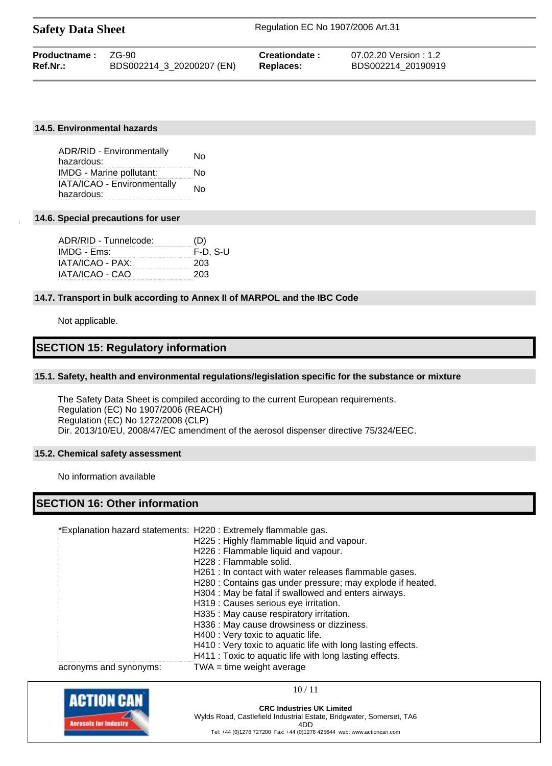| <b>Safety Data Sheet</b> |                           | Regulation EC No 1907/2006 Art.31 |                      |  |
|--------------------------|---------------------------|-----------------------------------|----------------------|--|
| Productname:             | 7G-90                     | Creationdate:                     | 07.02.20 Version:1.2 |  |
| $Ref.Nr.$ :              | BDS002214 3 20200207 (EN) | <b>Replaces:</b>                  | BDS002214 20190919   |  |

#### **14.5. Environmental hazards**

| <b>ADR/RID - Environmentally</b><br>hazardous: | No |
|------------------------------------------------|----|
| IMDG - Marine pollutant:                       | No |
| IATA/ICAO - Environmentally                    | No |
| hazardous:                                     |    |

#### **14.6. Special precautions for user**

| (D)        |
|------------|
| $F-D. S-U$ |
| 203        |
| 203        |
|            |

#### **14.7. Transport in bulk according to Annex II of MARPOL and the IBC Code**

Not applicable.

## **SECTION 15: Regulatory information**

#### **15.1. Safety, health and environmental regulations/legislation specific for the substance or mixture**

The Safety Data Sheet is compiled according to the current European requirements. Regulation (EC) No 1907/2006 (REACH) Regulation (EC) No 1272/2008 (CLP) Dir. 2013/10/EU, 2008/47/EC amendment of the aerosol dispenser directive 75/324/EEC.

#### **15.2. Chemical safety assessment**

No information available

## **SECTION 16: Other information**

\*Explanation hazard statements: H220 : Extremely flammable gas.

|                        | H225: Highly flammable liquid and vapour.                    |
|------------------------|--------------------------------------------------------------|
|                        | H226 : Flammable liquid and vapour.                          |
|                        | H228 : Flammable solid.                                      |
|                        | H261 : In contact with water releases flammable gases.       |
|                        | H280 : Contains gas under pressure; may explode if heated.   |
|                        | H304 : May be fatal if swallowed and enters airways.         |
|                        | H319 : Causes serious eye irritation.                        |
|                        | H335 : May cause respiratory irritation.                     |
|                        | H336 : May cause drowsiness or dizziness.                    |
|                        | H400 : Very toxic to aquatic life.                           |
|                        | H410 : Very toxic to aquatic life with long lasting effects. |
|                        | H411 : Toxic to aquatic life with long lasting effects.      |
| acronyms and synonyms: | $TWA = time weight average$                                  |



10 / 11